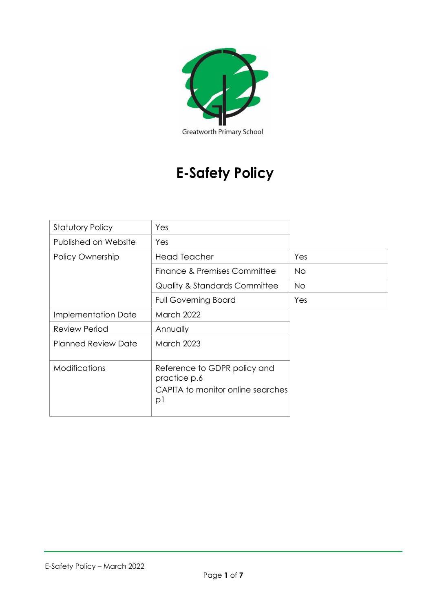

# **E-Safety Policy**

| <b>Statutory Policy</b>    | Yes                                                                               |           |
|----------------------------|-----------------------------------------------------------------------------------|-----------|
| Published on Website       | Yes                                                                               |           |
| Policy Ownership           | <b>Head Teacher</b>                                                               | Yes       |
|                            | Finance & Premises Committee                                                      | No.       |
|                            | <b>Quality &amp; Standards Committee</b>                                          | <b>No</b> |
|                            | <b>Full Governing Board</b>                                                       | Yes       |
| Implementation Date        | <b>March 2022</b>                                                                 |           |
| <b>Review Period</b>       | Annually                                                                          |           |
| <b>Planned Review Date</b> | <b>March 2023</b>                                                                 |           |
| <b>Modifications</b>       | Reference to GDPR policy and<br>practice p.6<br>CAPITA to monitor online searches |           |
|                            | p                                                                                 |           |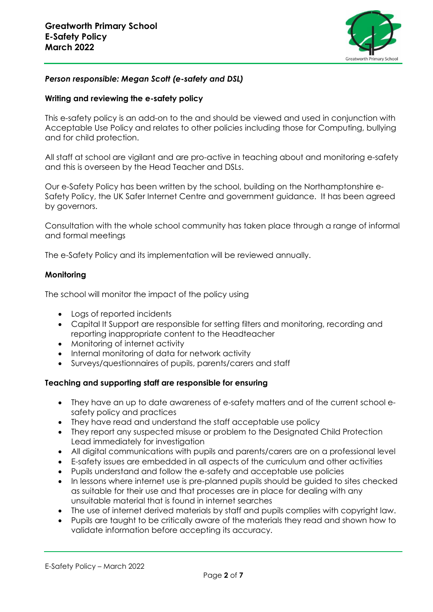

# *Person responsible: Megan Scott (e-safety and DSL)*

## **Writing and reviewing the e-safety policy**

This e-safety policy is an add-on to the and should be viewed and used in conjunction with Acceptable Use Policy and relates to other policies including those for Computing, bullying and for child protection.

All staff at school are vigilant and are pro-active in teaching about and monitoring e-safety and this is overseen by the Head Teacher and DSLs.

Our e-Safety Policy has been written by the school, building on the Northamptonshire e-Safety Policy, the UK Safer Internet Centre and government guidance. It has been agreed by governors.

Consultation with the whole school community has taken place through a range of informal and formal meetings

The e-Safety Policy and its implementation will be reviewed annually.

## **Monitoring**

The school will monitor the impact of the policy using

- Logs of reported incidents
- Capital It Support are responsible for setting filters and monitoring, recording and reporting inappropriate content to the Headteacher
- Monitoring of internet activity
- Internal monitoring of data for network activity
- Surveys/questionnaires of pupils, parents/carers and staff

# **Teaching and supporting staff are responsible for ensuring**

- They have an up to date awareness of e-safety matters and of the current school esafety policy and practices
- They have read and understand the staff acceptable use policy
- They report any suspected misuse or problem to the Designated Child Protection Lead immediately for investigation
- All digital communications with pupils and parents/carers are on a professional level
- E-safety issues are embedded in all aspects of the curriculum and other activities
- Pupils understand and follow the e-safety and acceptable use policies
- In lessons where internet use is pre-planned pupils should be guided to sites checked as suitable for their use and that processes are in place for dealing with any unsuitable material that is found in internet searches
- The use of internet derived materials by staff and pupils complies with copyright law.
- Pupils are taught to be critically aware of the materials they read and shown how to validate information before accepting its accuracy.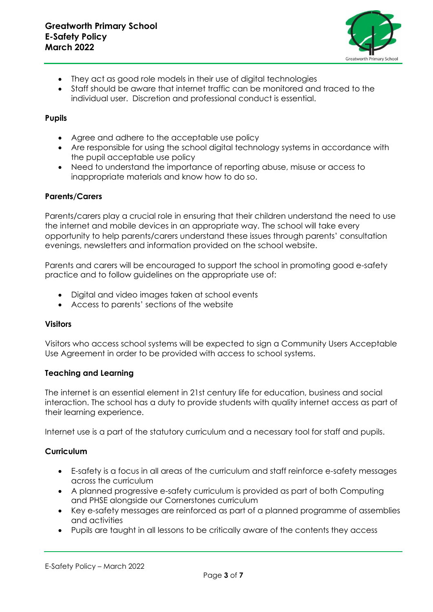

- They act as good role models in their use of digital technologies
- Staff should be aware that internet traffic can be monitored and traced to the individual user. Discretion and professional conduct is essential.

## **Pupils**

- Agree and adhere to the acceptable use policy
- Are responsible for using the school digital technology systems in accordance with the pupil acceptable use policy
- Need to understand the importance of reporting abuse, misuse or access to inappropriate materials and know how to do so.

## **Parents/Carers**

Parents/carers play a crucial role in ensuring that their children understand the need to use the internet and mobile devices in an appropriate way. The school will take every opportunity to help parents/carers understand these issues through parents' consultation evenings, newsletters and information provided on the school website.

Parents and carers will be encouraged to support the school in promoting good e-safety practice and to follow guidelines on the appropriate use of:

- Digital and video images taken at school events
- Access to parents' sections of the website

#### **Visitors**

Visitors who access school systems will be expected to sign a Community Users Acceptable Use Agreement in order to be provided with access to school systems.

#### **Teaching and Learning**

The internet is an essential element in 21st century life for education, business and social interaction. The school has a duty to provide students with quality internet access as part of their learning experience.

Internet use is a part of the statutory curriculum and a necessary tool for staff and pupils.

# **Curriculum**

- E-safety is a focus in all areas of the curriculum and staff reinforce e-safety messages across the curriculum
- A planned progressive e-safety curriculum is provided as part of both Computing and PHSE alongside our Cornerstones curriculum
- Key e-safety messages are reinforced as part of a planned programme of assemblies and activities
- Pupils are taught in all lessons to be critically aware of the contents they access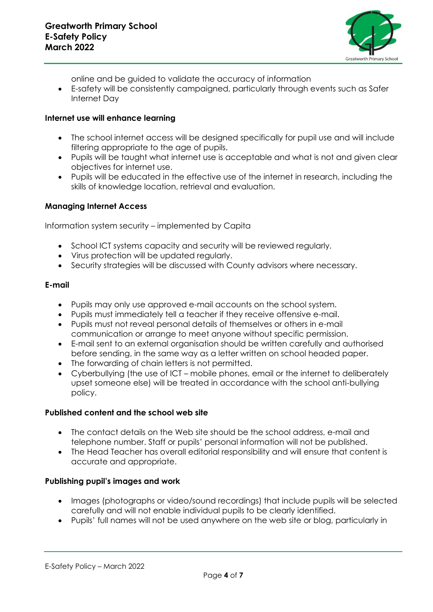

online and be guided to validate the accuracy of information

• E-safety will be consistently campaigned, particularly through events such as Safer Internet Day

#### **Internet use will enhance learning**

- The school internet access will be designed specifically for pupil use and will include filtering appropriate to the age of pupils.
- Pupils will be taught what internet use is acceptable and what is not and given clear objectives for internet use.
- Pupils will be educated in the effective use of the internet in research, including the skills of knowledge location, retrieval and evaluation.

## **Managing Internet Access**

Information system security – implemented by Capita

- School ICT systems capacity and security will be reviewed regularly.
- Virus protection will be updated regularly.
- Security strategies will be discussed with County advisors where necessary.

#### **E-mail**

- Pupils may only use approved e-mail accounts on the school system.
- Pupils must immediately tell a teacher if they receive offensive e-mail.
- Pupils must not reveal personal details of themselves or others in e-mail communication or arrange to meet anyone without specific permission.
- E-mail sent to an external organisation should be written carefully and authorised before sending, in the same way as a letter written on school headed paper.
- The forwarding of chain letters is not permitted.
- Cyberbullying (the use of ICT mobile phones, email or the internet to deliberately upset someone else) will be treated in accordance with the school anti-bullying policy.

#### **Published content and the school web site**

- The contact details on the Web site should be the school address, e-mail and telephone number. Staff or pupils' personal information will not be published.
- The Head Teacher has overall editorial responsibility and will ensure that content is accurate and appropriate.

# **Publishing pupil's images and work**

- Images (photographs or video/sound recordings) that include pupils will be selected carefully and will not enable individual pupils to be clearly identified.
- Pupils' full names will not be used anywhere on the web site or blog, particularly in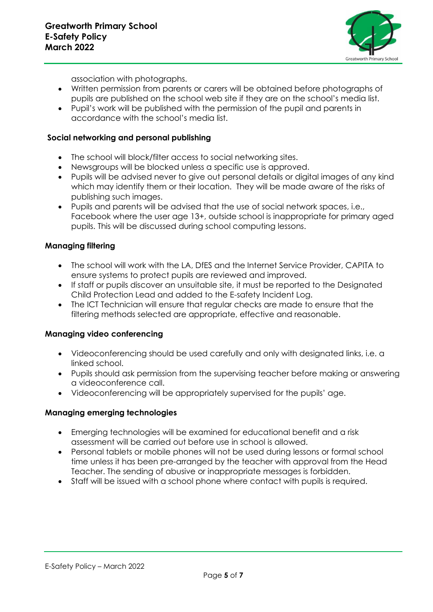

association with photographs.

- Written permission from parents or carers will be obtained before photographs of pupils are published on the school web site if they are on the school's media list.
- Pupil's work will be published with the permission of the pupil and parents in accordance with the school's media list.

#### **Social networking and personal publishing**

- The school will block/filter access to social networking sites.
- Newsgroups will be blocked unless a specific use is approved.
- Pupils will be advised never to give out personal details or digital images of any kind which may identify them or their location. They will be made aware of the risks of publishing such images.
- Pupils and parents will be advised that the use of social network spaces, i.e., Facebook where the user age 13+, outside school is inappropriate for primary aged pupils. This will be discussed during school computing lessons.

## **Managing filtering**

- The school will work with the LA, DfES and the Internet Service Provider, CAPITA to ensure systems to protect pupils are reviewed and improved.
- If staff or pupils discover an unsuitable site, it must be reported to the Designated Child Protection Lead and added to the E-safety Incident Log.
- The ICT Technician will ensure that regular checks are made to ensure that the filtering methods selected are appropriate, effective and reasonable.

#### **Managing video conferencing**

- Videoconferencing should be used carefully and only with designated links, i.e. a linked school.
- Pupils should ask permission from the supervising teacher before making or answering a videoconference call.
- Videoconferencing will be appropriately supervised for the pupils' age.

#### **Managing emerging technologies**

- Emerging technologies will be examined for educational benefit and a risk assessment will be carried out before use in school is allowed.
- Personal tablets or mobile phones will not be used during lessons or formal school time unless it has been pre-arranged by the teacher with approval from the Head Teacher. The sending of abusive or inappropriate messages is forbidden.
- Staff will be issued with a school phone where contact with pupils is required.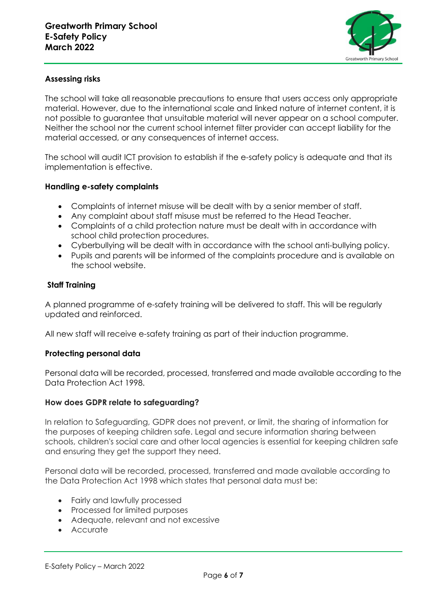

# **Assessing risks**

The school will take all reasonable precautions to ensure that users access only appropriate material. However, due to the international scale and linked nature of internet content, it is not possible to guarantee that unsuitable material will never appear on a school computer. Neither the school nor the current school internet filter provider can accept liability for the material accessed, or any consequences of internet access.

The school will audit ICT provision to establish if the e-safety policy is adequate and that its implementation is effective.

## **Handling e-safety complaints**

- Complaints of internet misuse will be dealt with by a senior member of staff.
- Any complaint about staff misuse must be referred to the Head Teacher.
- Complaints of a child protection nature must be dealt with in accordance with school child protection procedures.
- Cyberbullying will be dealt with in accordance with the school anti-bullying policy.
- Pupils and parents will be informed of the complaints procedure and is available on the school website.

## **Staff Training**

A planned programme of e-safety training will be delivered to staff. This will be regularly updated and reinforced.

All new staff will receive e-safety training as part of their induction programme.

#### **Protecting personal data**

Personal data will be recorded, processed, transferred and made available according to the Data Protection Act 1998.

#### **How does GDPR relate to safeguarding?**

In relation to Safeguarding, GDPR does not prevent, or limit, the sharing of information for the purposes of keeping children safe. Legal and secure information sharing between schools, children's social care and other local agencies is essential for keeping children safe and ensuring they get the support they need.

Personal data will be recorded, processed, transferred and made available according to the Data Protection Act 1998 which states that personal data must be:

- Fairly and lawfully processed
- Processed for limited purposes
- Adequate, relevant and not excessive
- Accurate